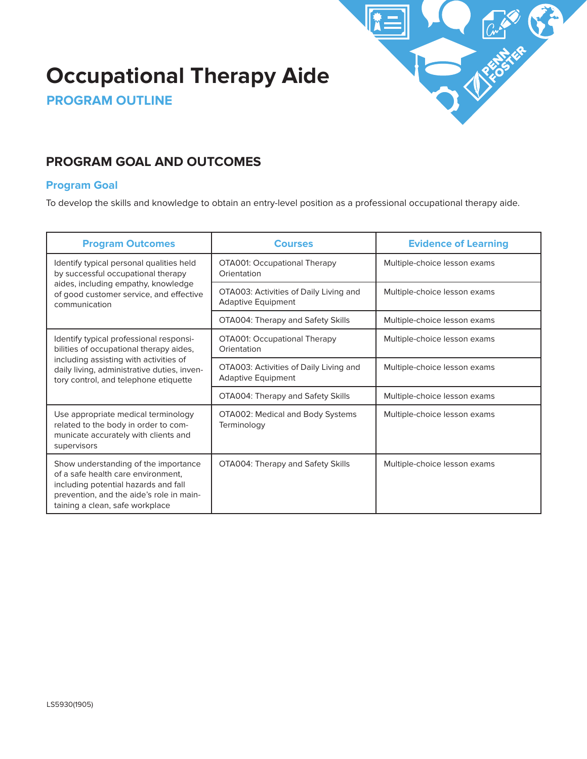# **Occupational Therapy Aide**



**PROGRAM OUTLINE**

# **PROGRAM GOAL AND OUTCOMES**

### **Program Goal**

To develop the skills and knowledge to obtain an entry-level position as a professional occupational therapy aide.

| <b>Program Outcomes</b>                                                                                                                                                                                              | <b>Courses</b>                                                      | <b>Evidence of Learning</b>  |
|----------------------------------------------------------------------------------------------------------------------------------------------------------------------------------------------------------------------|---------------------------------------------------------------------|------------------------------|
| Identify typical personal qualities held<br>by successful occupational therapy<br>aides, including empathy, knowledge<br>of good customer service, and effective<br>communication                                    | OTA001: Occupational Therapy<br>Orientation                         | Multiple-choice lesson exams |
|                                                                                                                                                                                                                      | OTA003: Activities of Daily Living and<br><b>Adaptive Equipment</b> | Multiple-choice lesson exams |
|                                                                                                                                                                                                                      | OTA004: Therapy and Safety Skills                                   | Multiple-choice lesson exams |
| Identify typical professional responsi-<br>bilities of occupational therapy aides,<br>including assisting with activities of<br>daily living, administrative duties, inven-<br>tory control, and telephone etiquette | OTA001: Occupational Therapy<br>Orientation                         | Multiple-choice lesson exams |
|                                                                                                                                                                                                                      | OTA003: Activities of Daily Living and<br><b>Adaptive Equipment</b> | Multiple-choice lesson exams |
|                                                                                                                                                                                                                      | OTA004: Therapy and Safety Skills                                   | Multiple-choice lesson exams |
| Use appropriate medical terminology<br>related to the body in order to com-<br>municate accurately with clients and<br>supervisors                                                                                   | OTA002: Medical and Body Systems<br>Terminology                     | Multiple-choice lesson exams |
| Show understanding of the importance<br>of a safe health care environment,<br>including potential hazards and fall<br>prevention, and the aide's role in main-<br>taining a clean, safe workplace                    | OTA004: Therapy and Safety Skills                                   | Multiple-choice lesson exams |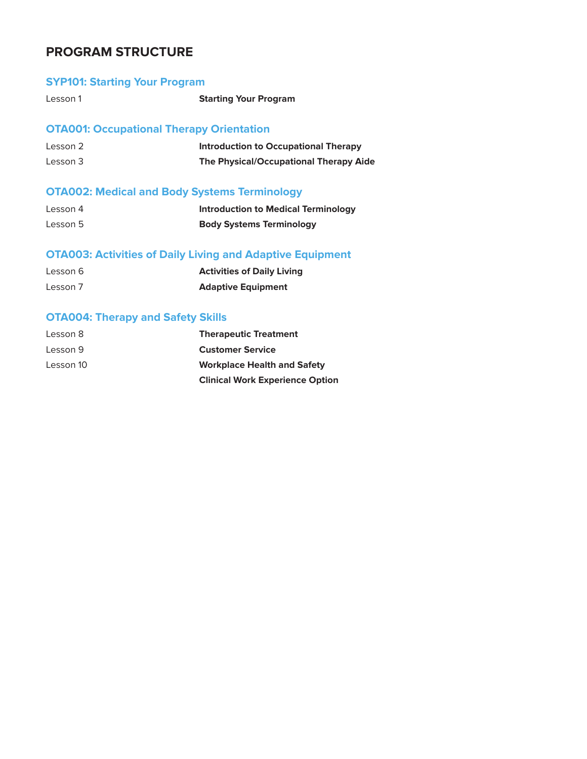# **PROGRAM STRUCTURE**

# **SYP101: Starting Your Program**

Lesson 1 **Starting Your Program**

# **OTA001: Occupational Therapy Orientation**

| Lesson 2 | Introduction to Occupational Therapy   |
|----------|----------------------------------------|
| Lesson 3 | The Physical/Occupational Therapy Aide |

# **OTA002: Medical and Body Systems Terminology**

| Lesson 4 | <b>Introduction to Medical Terminology</b> |
|----------|--------------------------------------------|
| Lesson 5 | <b>Body Systems Terminology</b>            |

# **OTA003: Activities of Daily Living and Adaptive Equipment**

| Lesson 6 | <b>Activities of Daily Living</b> |
|----------|-----------------------------------|
| Lesson 7 | <b>Adaptive Equipment</b>         |

# **OTA004: Therapy and Safety Skills**

| Lesson 8  | <b>Therapeutic Treatment</b>           |
|-----------|----------------------------------------|
| Lesson 9  | <b>Customer Service</b>                |
| Lesson 10 | <b>Workplace Health and Safety</b>     |
|           | <b>Clinical Work Experience Option</b> |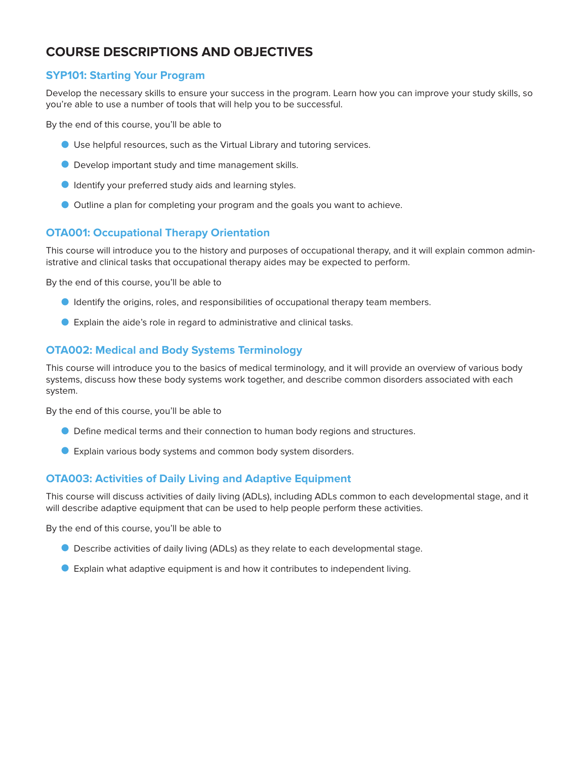# **COURSE DESCRIPTIONS AND OBJECTIVES**

#### **SYP101: Starting Your Program**

Develop the necessary skills to ensure your success in the program. Learn how you can improve your study skills, so you're able to use a number of tools that will help you to be successful.

By the end of this course, you'll be able to

- O Use helpful resources, such as the Virtual Library and tutoring services.
- O Develop important study and time management skills.
- O Identify your preferred study aids and learning styles.
- O Outline a plan for completing your program and the goals you want to achieve.

### **OTA001: Occupational Therapy Orientation**

This course will introduce you to the history and purposes of occupational therapy, and it will explain common administrative and clinical tasks that occupational therapy aides may be expected to perform.

By the end of this course, you'll be able to

- O Identify the origins, roles, and responsibilities of occupational therapy team members.
- O Explain the aide's role in regard to administrative and clinical tasks.

#### **OTA002: Medical and Body Systems Terminology**

This course will introduce you to the basics of medical terminology, and it will provide an overview of various body systems, discuss how these body systems work together, and describe common disorders associated with each system.

By the end of this course, you'll be able to

- O Define medical terms and their connection to human body regions and structures.
- O Explain various body systems and common body system disorders.

#### **OTA003: Activities of Daily Living and Adaptive Equipment**

This course will discuss activities of daily living (ADLs), including ADLs common to each developmental stage, and it will describe adaptive equipment that can be used to help people perform these activities.

By the end of this course, you'll be able to

- O Describe activities of daily living (ADLs) as they relate to each developmental stage.
- O Explain what adaptive equipment is and how it contributes to independent living.